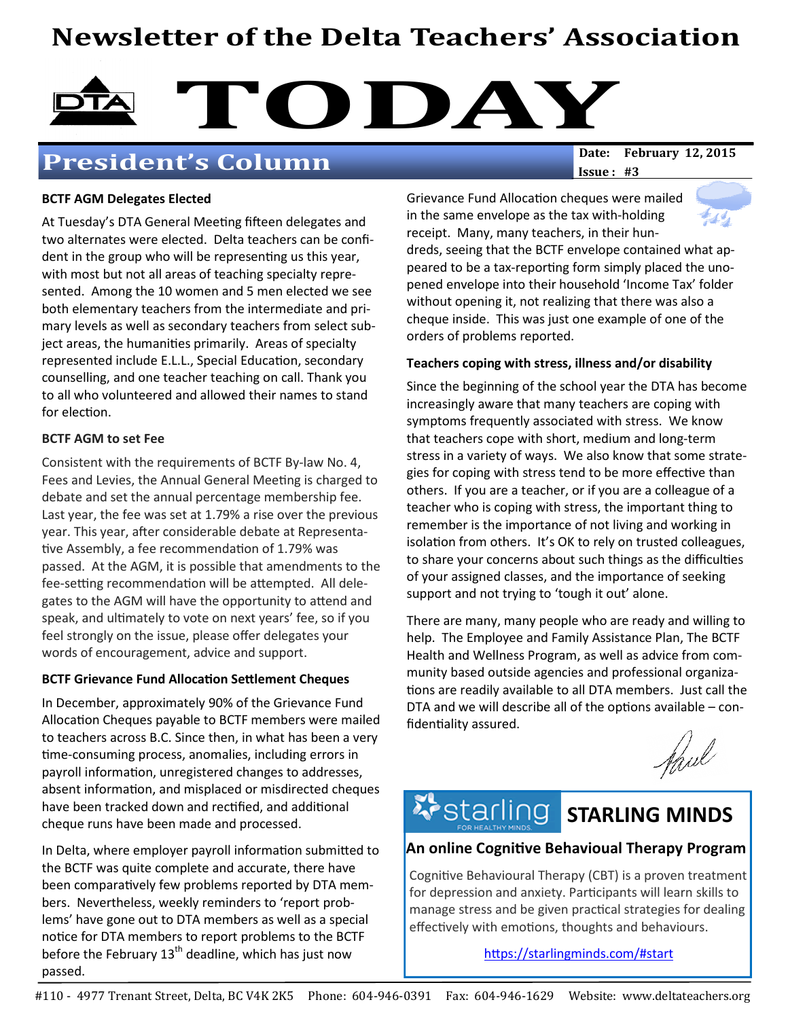## Newsletter of the Delta Teachers' Association



## President's Column

 $Issue: #3$ 

#### BCTF AGM Delegates Elected

At Tuesday's DTA General Meeting fifteen delegates and two alternates were elected. Delta teachers can be confident in the group who will be representing us this year, with most but not all areas of teaching specialty represented. Among the 10 women and 5 men elected we see both elementary teachers from the intermediate and primary levels as well as secondary teachers from select subject areas, the humanities primarily. Areas of specialty represented include E.L.L., Special Education, secondary counselling, and one teacher teaching on call. Thank you to all who volunteered and allowed their names to stand for election.

#### BCTF AGM to set Fee

Consistent with the requirements of BCTF By-law No. 4, Fees and Levies, the Annual General Meeting is charged to debate and set the annual percentage membership fee. Last year, the fee was set at 1.79% a rise over the previous year. This year, after considerable debate at Representative Assembly, a fee recommendation of 1.79% was passed. At the AGM, it is possible that amendments to the fee-setting recommendation will be attempted. All delegates to the AGM will have the opportunity to attend and speak, and ultimately to vote on next years' fee, so if you feel strongly on the issue, please offer delegates your words of encouragement, advice and support.

#### BCTF Grievance Fund Allocation Settlement Cheques

In December, approximately 90% of the Grievance Fund Allocation Cheques payable to BCTF members were mailed to teachers across B.C. Since then, in what has been a very time-consuming process, anomalies, including errors in payroll information, unregistered changes to addresses, absent information, and misplaced or misdirected cheques have been tracked down and rectified, and additional cheque runs have been made and processed.

In Delta, where employer payroll information submitted to the BCTF was quite complete and accurate, there have been comparatively few problems reported by DTA members. Nevertheless, weekly reminders to 'report problems' have gone out to DTA members as well as a special notice for DTA members to report problems to the BCTF before the February  $13^{th}$  deadline, which has just now passed.

Grievance Fund Allocation cheques were mailed in the same envelope as the tax with-holding receipt. Many, many teachers, in their hundreds, seeing that the BCTF envelope contained what appeared to be a tax-reporting form simply placed the unopened envelope into their household 'Income Tax' folder without opening it, not realizing that there was also a cheque inside. This was just one example of one of the orders of problems reported.

#### Teachers coping with stress, illness and/or disability

Since the beginning of the school year the DTA has become increasingly aware that many teachers are coping with symptoms frequently associated with stress. We know that teachers cope with short, medium and long-term stress in a variety of ways. We also know that some strategies for coping with stress tend to be more effective than others. If you are a teacher, or if you are a colleague of a teacher who is coping with stress, the important thing to remember is the importance of not living and working in isolation from others. It's OK to rely on trusted colleagues, to share your concerns about such things as the difficulties of your assigned classes, and the importance of seeking support and not trying to 'tough it out' alone.

There are many, many people who are ready and willing to help. The Employee and Family Assistance Plan, The BCTF Health and Wellness Program, as well as advice from community based outside agencies and professional organiza tions are readily available to all DTA members. Just call the DTA and we will describe all of the options available  $-$  confidentiality assured.

Haul

# Starling STARLING MINDS

### An online Cognitive Behavioual Therapy Program

Cognitive Behavioural Therapy (CBT) is a proven treatment for depression and anxiety. Participants will learn skills to manage stress and be given practical strategies for dealing effectively with emotions, thoughts and behaviours.

https://starlingminds.com/#start